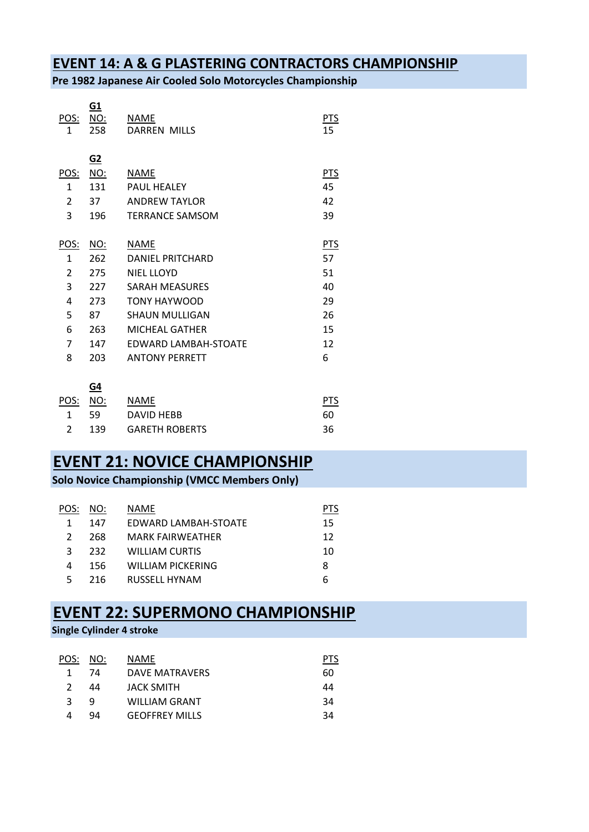#### **EVENT 14: A & G PLASTERING CONTRACTORS CHAMPIONSHIP**

**Pre 1982 Japanese Air Cooled Solo Motorcycles Championship**

| <u>POS:</u><br>1 | <u>G1</u><br><u>NO:</u><br>258 | NAME<br><b>DARREN MILLS</b> | <u>PTS</u><br>15 |
|------------------|--------------------------------|-----------------------------|------------------|
| <u>POS:</u>      | <u>G2</u><br>NO:               | <b>NAME</b>                 | PTS              |
| $\mathbf{1}$     | 131                            | <b>PAUL HFALFY</b>          | 45               |
| $\overline{2}$   | 37                             | <b>ANDREW TAYLOR</b>        | 42               |
| 3                | 196                            | <b>TERRANCE SAMSOM</b>      | 39               |
|                  |                                |                             |                  |
| <u>POS:</u>      | <u>NO:</u>                     | <b>NAME</b>                 | <u>PTS</u>       |
| $\mathbf{1}$     | 262                            | <b>DANIFL PRITCHARD</b>     | 57               |
| $\overline{2}$   | 275                            | <b>NIEL LLOYD</b>           | 51               |
| 3                | 227                            | <b>SARAH MEASURES</b>       | 40               |
| 4                | 273                            | <b>TONY HAYWOOD</b>         | 29               |
| 5                | 87                             | <b>SHAUN MULLIGAN</b>       | 26               |
| 6                | 263                            | MICHFAL GATHER              | 15               |
| 7                | 147                            | <b>FDWARD LAMBAH-STOATF</b> | 12               |
| 8                | 203                            | <b>ANTONY PERRETT</b>       | 6                |
|                  |                                |                             |                  |
|                  | <u>G4</u>                      |                             |                  |
| <u>POS:</u>      | <u>NO:</u>                     | <b>NAME</b>                 | <u>PTS</u>       |
| 1                | 59                             | <b>DAVID HEBB</b>           | 60               |

| JJ  | <b>DAVID IILDD</b>    |    |
|-----|-----------------------|----|
| 139 | <b>GARETH ROBERTS</b> | 36 |

## **EVENT 21: NOVICE CHAMPIONSHIP**

**Solo Novice Championship (VMCC Members Only)**

| POS:          | NO:  | NAME                 | P I S |
|---------------|------|----------------------|-------|
| 1             | 147  | EDWARD LAMBAH-STOATE | 15    |
| $\mathcal{P}$ | 268  | MARK FAIRWFATHFR     | 12    |
| 3             | 232. | WILLIAM CURTIS       | 10    |
| 4             | 156  | WILLIAM PICKERING    | 8     |
| 5             | 216  | RUSSELL HYNAM        | 6     |
|               |      |                      |       |

## **EVENT 22: SUPERMONO CHAMPIONSHIP**

#### **Single Cylinder 4 stroke**

| POS:          | NO: | NAME                  | PIS |
|---------------|-----|-----------------------|-----|
| 1             | 74  | DAVE MATRAVERS        | 60  |
| $\mathcal{P}$ | 44  | JACK SMITH            | 44  |
| ર             | q   | WILLIAM GRANT         | 34  |
|               | 94  | <b>GEOFFREY MILLS</b> | 34  |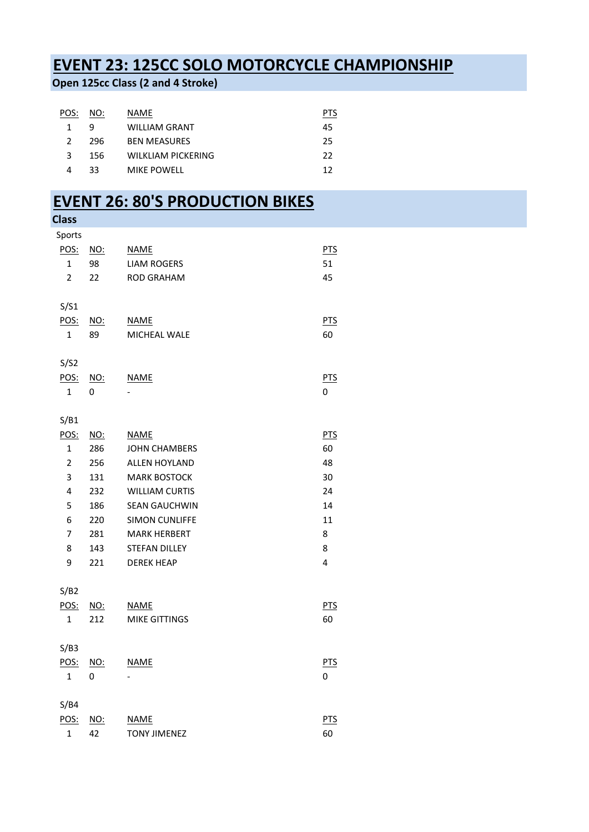# **EVENT 23: 125CC SOLO MOTORCYCLE CHAMPIONSHIP**

**Open 125cc Class (2 and 4 Stroke)**

| POS:          | NO: | NAME                |    |
|---------------|-----|---------------------|----|
| 1             | q   | WILLIAM GRANT       | 45 |
| $\mathcal{P}$ | 296 | <b>BEN MEASURES</b> | 25 |
| 3             | 156 | WILKLIAM PICKERING  | 22 |
| 4             | 33  | <b>MIKE POWELL</b>  | 12 |
|               |     |                     |    |

# **EVENT 26: 80'S PRODUCTION BIKES**

| Sports                                        |            |
|-----------------------------------------------|------------|
|                                               |            |
| POS:<br>NO:<br><b>NAME</b>                    | <b>PTS</b> |
| $\mathbf{1}$<br>98<br><b>LIAM ROGERS</b>      | 51         |
| $\overline{2}$<br>22<br><b>ROD GRAHAM</b>     | 45         |
|                                               |            |
| S/S1                                          |            |
| POS:<br><b>NAME</b><br>NO:                    | <b>PTS</b> |
| 89<br>MICHEAL WALE<br>$\mathbf{1}$            | 60         |
|                                               |            |
| S/S2                                          |            |
| <u>POS:</u><br><b>NAME</b><br><u>NO:</u>      | <b>PTS</b> |
| 1<br>0                                        | 0          |
|                                               |            |
| S/B1                                          |            |
| POS:<br><u>NO:</u><br><b>NAME</b>             | <b>PTS</b> |
| $\mathbf{1}$<br>286<br><b>JOHN CHAMBERS</b>   | 60         |
| $\overline{2}$<br>256<br><b>ALLEN HOYLAND</b> | 48         |
| 3<br>131<br><b>MARK BOSTOCK</b>               | 30         |
| 4<br>232<br><b>WILLIAM CURTIS</b>             | 24         |
| 5<br>186<br><b>SEAN GAUCHWIN</b>              | 14         |
| 6<br>220<br><b>SIMON CUNLIFFE</b>             | 11         |
| 7<br>281<br><b>MARK HERBERT</b>               | 8          |
| 8<br>143<br><b>STEFAN DILLEY</b>              | 8          |
| 9<br>221<br><b>DEREK HEAP</b>                 | 4          |
|                                               |            |
| S/B2                                          |            |
| POS:<br>NO:<br><b>NAME</b>                    | <b>PTS</b> |
| 212<br><b>MIKE GITTINGS</b><br>$\mathbf{1}$   | 60         |
|                                               |            |
| S/B3                                          |            |
| POS:<br><b>NAME</b><br><u>NO:</u>             | <u>PTS</u> |
| $\mathbf{1}$<br>0                             | 0          |
| S/B4                                          |            |
| POS:<br><b>NAME</b><br>$NO$                   | PTS        |
| <b>TONY JIMENEZ</b><br>$\mathbf{1}$<br>42     | 60         |